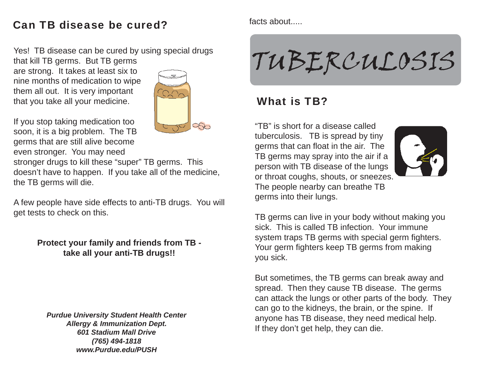#### Can TB disease be cured?

Yes! TB disease can be cured by using special drugs

that kill TB germs. But TB germs are strong. It takes at least six to nine months of medication to wipe them all out. It is very important that you take all your medicine.



If you stop taking medication too soon, it is a big problem. The TB germs that are still alive become even stronger. You may need

stronger drugs to kill these "super" TB germs. This doesn't have to happen. If you take all of the medicine, the TB germs will die.

A few people have side effects to anti-TB drugs. You will get tests to check on this.

> **Protect your family and friends from TB take all your anti-TB drugs!!**

*Purdue University Student Health Center Allergy & Immunization Dept. 601 Stadium Mall Drive(765) 494-1818 www.Purdue.edu/PUSH*

facts about.....

# TUBERCULOSIS

#### What is TB?

"TB" is short for a disease called tuberculosis. TB is spread by tiny germs that can float in the air. The TB germs may spray into the air if a person with TB disease of the lungs or throat coughs, shouts, or sneezes. The people nearby can breathe TB germs into their lungs.



TB germs can live in your body without making you sick. This is called TB infection. Your immune system traps TB germs with special germ fighters. Your germ fighters keep TB germs from making you sick.

But sometimes, the TB germs can break away and spread. Then they cause TB disease. The germs can attack the lungs or other parts of the body. They can go to the kidneys, the brain, or the spine. If anyone has TB disease, they need medical help. If they don't get help, they can die.